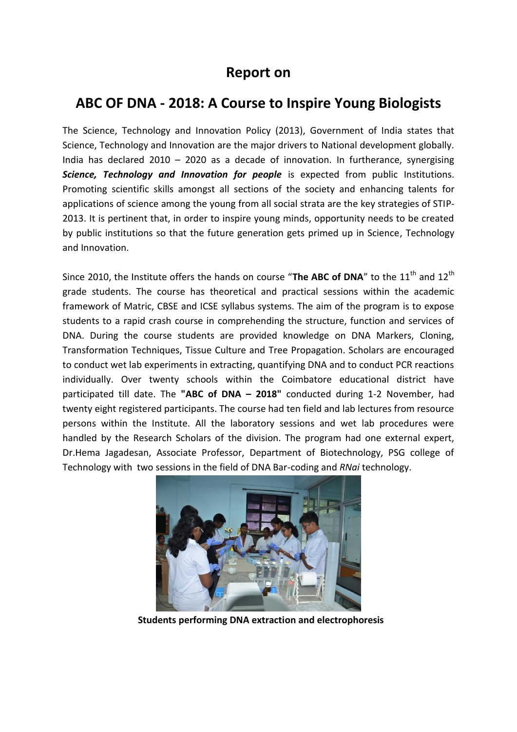## **Report on**

## **ABC OF DNA - 2018: A Course to Inspire Young Biologists**

The Science, Technology and Innovation Policy (2013), Government of India states that Science, Technology and Innovation are the major drivers to National development globally. India has declared  $2010 - 2020$  as a decade of innovation. In furtherance, synergising *Science, Technology and Innovation for people* is expected from public Institutions. Promoting scientific skills amongst all sections of the society and enhancing talents for applications of science among the young from all social strata are the key strategies of STIP-2013. It is pertinent that, in order to inspire young minds, opportunity needs to be created by public institutions so that the future generation gets primed up in Science, Technology and Innovation.

Since 2010, the Institute offers the hands on course "The ABC of DNA" to the 11<sup>th</sup> and 12<sup>th</sup> grade students. The course has theoretical and practical sessions within the academic framework of Matric, CBSE and ICSE syllabus systems. The aim of the program is to expose students to a rapid crash course in comprehending the structure, function and services of DNA. During the course students are provided knowledge on DNA Markers, Cloning, Transformation Techniques, Tissue Culture and Tree Propagation. Scholars are encouraged to conduct wet lab experiments in extracting, quantifying DNA and to conduct PCR reactions individually. Over twenty schools within the Coimbatore educational district have participated till date. The **"ABC of DNA – 2018"** conducted during 1-2 November, had twenty eight registered participants. The course had ten field and lab lectures from resource persons within the Institute. All the laboratory sessions and wet lab procedures were handled by the Research Scholars of the division. The program had one external expert, Dr.Hema Jagadesan, Associate Professor, Department of Biotechnology, PSG college of Technology with two sessions in the field of DNA Bar-coding and *RNai* technology.



**Students performing DNA extraction and electrophoresis**